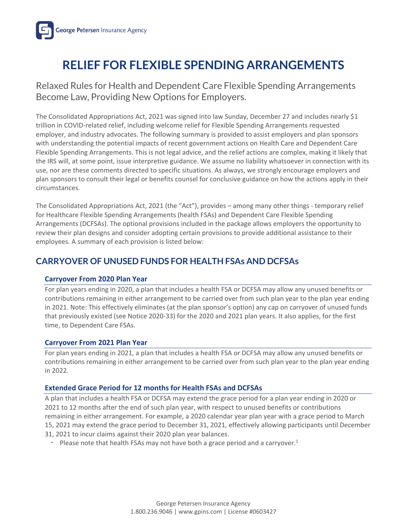

# **RELIEF FOR FLEXIBLE SPENDING ARRANGEMENTS**

Relaxed Rules for Health and Dependent Care Flexible Spending Arrangements Become Law, Providing New Options for Employers.

The Consolidated Appropriations Act, 2021 was signed into law Sunday, December 27 and includes nearly \$1 trillion in COVID-related relief, including welcome relief for Flexible Spending Arrangements requested employer, and industry advocates. The following summary is provided to assist employers and plan sponsors with understanding the potential impacts of recent government actions on Health Care and Dependent Care Flexible Spending Arrangements. This is not legal advice, and the relief actions are complex, making it likely that the IRS will, at some point, issue interpretive guidance. We assume no liability whatsoever in connection with its use, nor are these comments directed to specific situations. As always, we strongly encourage employers and plan sponsors to consult their legal or benefits counsel for conclusive guidance on how the actions apply in their circumstances.

The Consolidated Appropriations Act, 2021 (the "Act"), provides – among many other things - temporary relief for Healthcare Flexible Spending Arrangements (health FSAs) and Dependent Care Flexible Spending Arrangements (DCFSAs). The optional provisions included in the package allows employers the opportunity to review their plan designs and consider adopting certain provisions to provide additional assistance to their employees. A summary of each provision is listed below:

# **CARRYOVER OF UNUSED FUNDS FOR HEALTH FSAs AND DCFSAs**

#### **Carryover From 2020 Plan Year**

For plan years ending in 2020, a plan that includes a health FSA or DCFSA may allow any unused benefits or contributions remaining in either arrangement to be carried over from such plan year to the plan year ending in 2021. Note: This effectively eliminates (at the plan sponsor's option) any cap on carryover of unused funds that previously existed (see Notice 2020-33[\) for th](https://www.irs.gov/pub/irs-drop/n-20-33.pdf)e 2020 and 2021 plan years. It also applies, for the first time, to Dependent Care FSAs.

### **Carryover From 2021 Plan Year**

For plan years ending in 2021, a plan that includes a health FSA or DCFSA may allow any unused benefits or contributions remaining in either arrangement to be carried over from such plan year to the plan year ending in 2022.

### **Extended Grace Period for 12 months for Health FSAs and DCFSAs**

A plan that includes a health FSA or DCFSA may extend the grace period for a plan year ending in 2020 or 2021 to 12 months after the end of such plan year, with respect to unused benefits or contributions remaining in either arrangement. For example, a 2020 calendar year plan year with a grace period to March 15, 2021 may extend the grace period to December 31, 2021, effectively allowing participants until December 31, 2021 to incur claims against their 2020 plan year balances.

Please note that health FSAs may not have both a grace period and a carryover.<sup>1</sup>